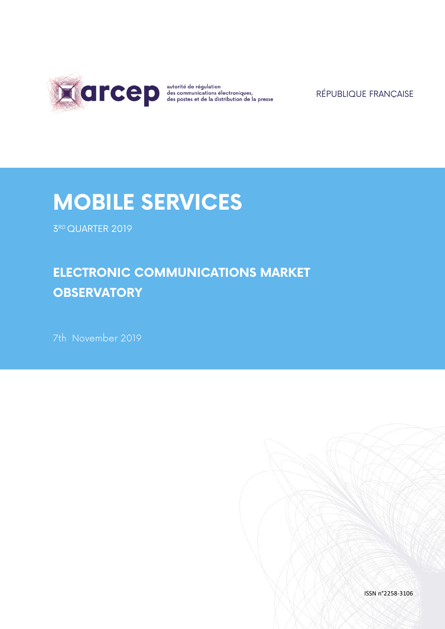

RÉPUBLIQUE FRANÇAISE

# **MOBILE SERVICES**

3 RD QUARTER 2019

# **ELECTRONIC COMMUNICATIONS MARKET OBSERVATORY**

7th November 2019

ISSN n°2258-3106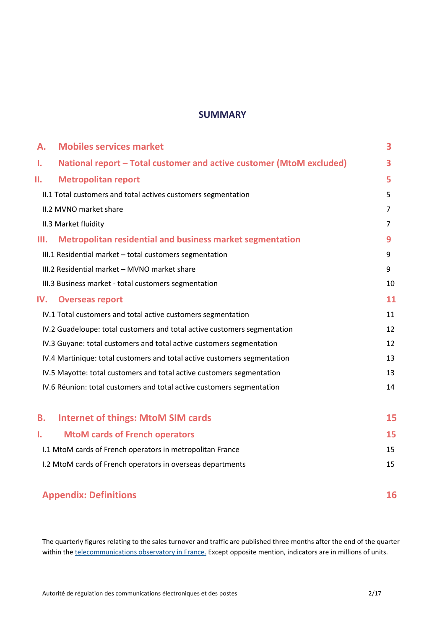### **SUMMARY**

| А.  | <b>Mobiles services market</b>                                           | 3  |
|-----|--------------------------------------------------------------------------|----|
| Ι.  | National report – Total customer and active customer (MtoM excluded)     | 3  |
| Π.  | <b>Metropolitan report</b>                                               | 5  |
|     | II.1 Total customers and total actives customers segmentation            | 5  |
|     | II.2 MVNO market share                                                   | 7  |
|     | II.3 Market fluidity                                                     | 7  |
| Ш.  | <b>Metropolitan residential and business market segmentation</b>         | 9  |
|     | III.1 Residential market - total customers segmentation                  | 9  |
|     | III.2 Residential market - MVNO market share                             | 9  |
|     | III.3 Business market - total customers segmentation                     | 10 |
| IV. | <b>Overseas report</b>                                                   | 11 |
|     | IV.1 Total customers and total active customers segmentation             | 11 |
|     | IV.2 Guadeloupe: total customers and total active customers segmentation | 12 |
|     | IV.3 Guyane: total customers and total active customers segmentation     | 12 |
|     | IV.4 Martinique: total customers and total active customers segmentation | 13 |
|     | IV.5 Mayotte: total customers and total active customers segmentation    | 13 |
|     | IV.6 Réunion: total customers and total active customers segmentation    | 14 |
| В.  | <b>Internet of things: MtoM SIM cards</b>                                | 15 |
| 1.  | <b>MtoM cards of French operators</b>                                    | 15 |
|     | I.1 MtoM cards of French operators in metropolitan France                | 15 |
|     | I.2 MtoM cards of French operators in overseas departments               | 15 |

# **Appendix: Definitions 16**

The quarterly figures relating to the sales turnover and traffic are published three months after the end of the quarter within th[e telecommunications observatory in France.](https://www.arcep.fr/cartes-et-donnees/nos-publications-chiffrees/observatoire-services-mobiles/) Except opposite mention, indicators are in millions of units.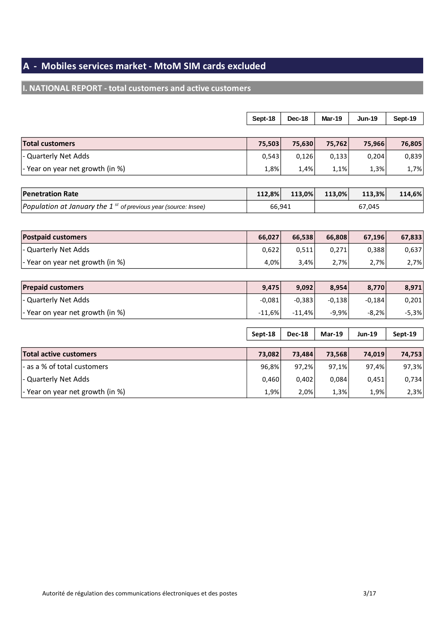# **A - Mobiles services market - MtoM SIM cards excluded**

# **I. NATIONAL REPORT - total customers and active customers**

|                                                                               | Sept-18  | Dec-18        | <b>Mar-19</b> | <b>Jun-19</b> | Sept-19 |
|-------------------------------------------------------------------------------|----------|---------------|---------------|---------------|---------|
|                                                                               |          |               |               |               |         |
| <b>Total customers</b>                                                        | 75,503   | 75,630        | 75,762        | 75,966        | 76,805  |
| - Quarterly Net Adds                                                          | 0,543    | 0,126         | 0,133         | 0,204         | 0,839   |
| - Year on year net growth (in %)                                              | 1,8%     | 1,4%          | 1,1%          | 1,3%          | 1,7%    |
|                                                                               |          |               |               |               |         |
| <b>Penetration Rate</b>                                                       | 112,8%   | 113,0%        | 113,0%        | 113,3%        | 114,6%  |
| Population at January the 1 $s$ <sup>t</sup> of previous year (source: Insee) | 66,941   |               |               | 67,045        |         |
|                                                                               |          |               |               |               |         |
| <b>Postpaid customers</b>                                                     | 66,027   | 66,538        | 66,808        | 67,196        | 67,833  |
| - Quarterly Net Adds                                                          | 0,622    | 0,511         | 0,271         | 0,388         | 0,637   |
| - Year on year net growth (in %)                                              | 4,0%     | 3,4%          | 2,7%          | 2,7%          | 2,7%    |
|                                                                               |          |               |               |               |         |
| <b>Prepaid customers</b>                                                      | 9,475    | 9,092         | 8,954         | 8,770         | 8,971   |
| - Quarterly Net Adds                                                          | $-0,081$ | $-0,383$      | $-0,138$      | $-0,184$      | 0,201   |
| - Year on year net growth (in %)                                              | $-11,6%$ | $-11,4%$      | $-9,9%$       | $-8,2%$       | $-5,3%$ |
|                                                                               |          |               |               |               |         |
|                                                                               | Sept-18  | <b>Dec-18</b> | <b>Mar-19</b> | <b>Jun-19</b> | Sept-19 |
| <b>Total active customers</b>                                                 | 73,082   | 73,484        | 73,568        | 74,019        | 74,753  |
| - as a % of total customers                                                   | 96,8%    | 97,2%         | 97,1%         | 97,4%         | 97,3%   |
| - Quarterly Net Adds                                                          | 0,460    | 0,402         | 0,084         | 0,451         | 0,734   |
| - Year on year net growth (in %)                                              | 1,9%     | 2,0%          | 1,3%          | 1,9%          | 2,3%    |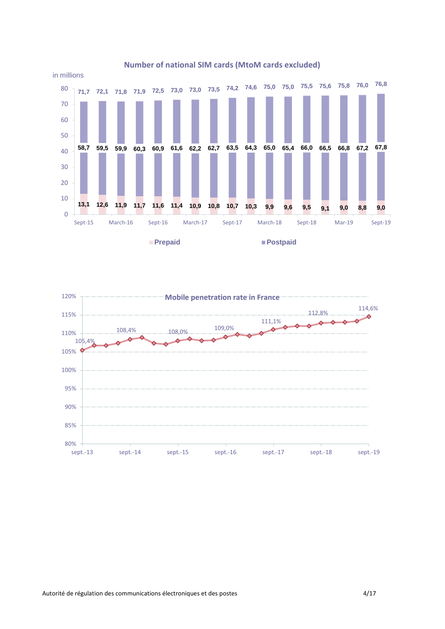

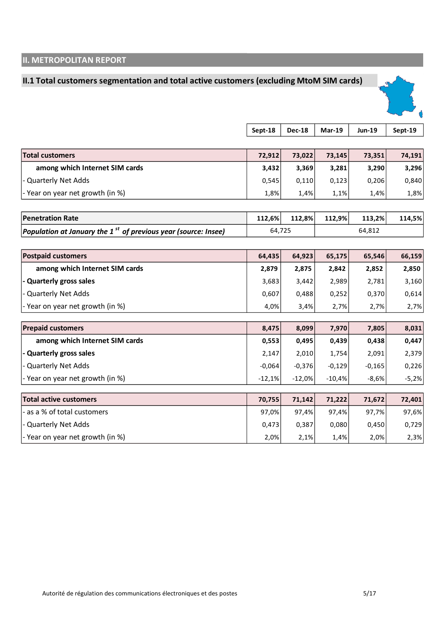# **II. METROPOLITAN REPORT**

# **II.1 Total customers segmentation and total active customers (excluding MtoM SIM cards)**



|                                                                            | Sept-18  | <b>Dec-18</b> | <b>Mar-19</b> | <b>Jun-19</b> | Sept-19 |
|----------------------------------------------------------------------------|----------|---------------|---------------|---------------|---------|
|                                                                            |          |               |               |               |         |
| <b>Total customers</b>                                                     | 72,912   | 73,022        | 73,145        | 73,351        | 74,191  |
| among which Internet SIM cards                                             | 3,432    | 3,369         | 3,281         | 3,290         | 3,296   |
| - Quarterly Net Adds                                                       | 0,545    | 0,110         | 0,123         | 0,206         | 0,840   |
| - Year on year net growth (in %)                                           | 1,8%     | 1,4%          | 1,1%          | 1,4%          | 1,8%    |
|                                                                            |          |               |               |               |         |
| <b>Penetration Rate</b>                                                    | 112,6%   | 112,8%        | 112,9%        | 113,2%        | 114,5%  |
| Population at January the 1 <sup>st</sup> of previous year (source: Insee) | 64,725   |               |               | 64,812        |         |
|                                                                            |          |               |               |               |         |
| <b>Postpaid customers</b>                                                  | 64,435   | 64,923        | 65,175        | 65,546        | 66,159  |
| among which Internet SIM cards                                             | 2,879    | 2,875         | 2,842         | 2,852         | 2,850   |
| - Quarterly gross sales                                                    | 3,683    | 3,442         | 2,989         | 2,781         | 3,160   |
| - Quarterly Net Adds                                                       | 0,607    | 0,488         | 0,252         | 0,370         | 0,614   |
| - Year on year net growth (in %)                                           | 4,0%     | 3,4%          | 2,7%          | 2,7%          | 2,7%    |
| <b>Prepaid customers</b>                                                   | 8,475    | 8,099         | 7,970         | 7,805         | 8,031   |
| among which Internet SIM cards                                             | 0,553    | 0,495         | 0,439         | 0,438         | 0,447   |
| - Quarterly gross sales                                                    | 2,147    | 2,010         | 1,754         | 2,091         | 2,379   |
| - Quarterly Net Adds                                                       | $-0,064$ | $-0,376$      | $-0,129$      | $-0,165$      | 0,226   |
| - Year on year net growth (in %)                                           | $-12,1%$ | $-12,0%$      | $-10,4%$      | $-8,6%$       | $-5,2%$ |
| <b>Total active customers</b>                                              | 70,755   | 71,142        | 71,222        | 71,672        | 72,401  |
| - as a % of total customers                                                | 97,0%    | 97,4%         | 97,4%         | 97,7%         | 97,6%   |
| - Quarterly Net Adds                                                       | 0,473    | 0,387         | 0,080         | 0,450         | 0,729   |
| - Year on year net growth (in %)                                           | 2,0%     | 2,1%          | 1,4%          | 2,0%          | 2,3%    |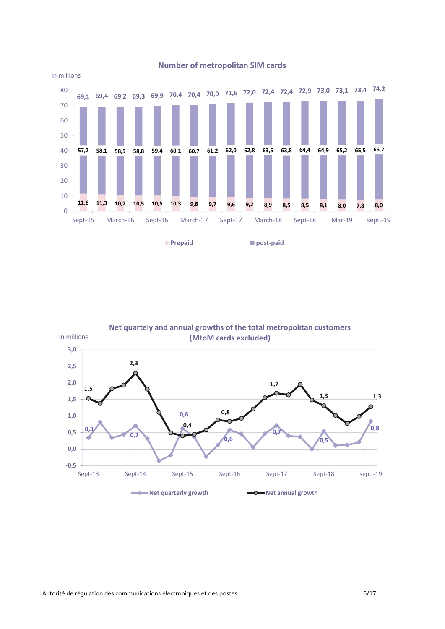

#### **0,3**  $\overline{0}$ **0,6 0,6 0,7 0,5 0,8 1,5 2,3 0,4 0,8 1,7 1,3 1,3 -0,5 0,0 0,5 1,0 1,5 2,0 2,5 3,0** Sept-13 Sept-14 Sept-15 Sept-16 Sept-17 Sept-18 sept.-19 in millions **Net quartely and annual growths of the total metropolitan customers (MtoM cards excluded) Net quarterly growth Net annual growth**

#### **Number of metropolitan SIM cards**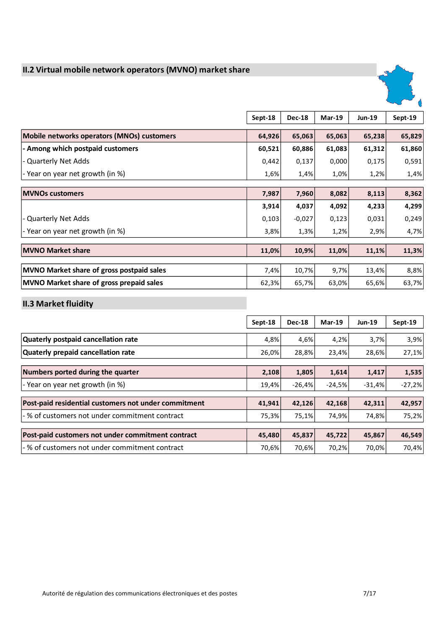# **II.2 Virtual mobile network operators (MVNO) market share**



|                                                  | Sept-18 | <b>Dec-18</b> | $Mar-19$ | <b>Jun-19</b> | Sept-19 |
|--------------------------------------------------|---------|---------------|----------|---------------|---------|
| Mobile networks operators (MNOs) customers       | 64,926  | 65,063        | 65,063   | 65,238        | 65,829  |
| - Among which postpaid customers                 | 60,521  | 60,886        | 61,083   | 61,312        | 61,860  |
| - Quarterly Net Adds                             | 0,442   | 0,137         | 0,000    | 0,175         | 0,591   |
| - Year on year net growth (in %)                 | 1,6%    | 1,4%          | 1,0%     | 1,2%          | 1,4%    |
|                                                  |         |               |          |               |         |
| <b>MVNOs customers</b>                           | 7,987   | 7,960         | 8,082    | 8,113         | 8,362   |
|                                                  | 3,914   | 4,037         | 4,092    | 4,233         | 4,299   |
| - Quarterly Net Adds                             | 0,103   | $-0,027$      | 0,123    | 0,031         | 0,249   |
| - Year on year net growth (in %)                 | 3,8%    | 1,3%          | 1,2%     | 2,9%          | 4,7%    |
|                                                  |         |               |          |               |         |
| <b>MVNO Market share</b>                         | 11,0%   | 10,9%         | 11,0%    | 11,1%         | 11,3%   |
|                                                  |         |               |          |               |         |
| <b>MVNO Market share of gross postpaid sales</b> | 7,4%    | 10,7%         | 9,7%     | 13,4%         | 8,8%    |
| MVNO Market share of gross prepaid sales         | 62,3%   | 65,7%         | 63,0%    | 65,6%         | 63,7%   |

# **II.3 Market fluidity**

|                                                      | Sept-18 | <b>Dec-18</b> | $Mar-19$ | <b>Jun-19</b> | Sept-19  |
|------------------------------------------------------|---------|---------------|----------|---------------|----------|
| Quaterly postpaid cancellation rate                  | 4,8%    | 4,6%          | 4,2%     | 3,7%          | 3,9%     |
| <b>Quaterly prepaid cancellation rate</b>            | 26,0%   | 28,8%         | 23,4%    | 28,6%         | 27,1%    |
| Numbers ported during the quarter                    | 2,108   | 1,805         | 1,614    | 1,417         | 1,535    |
| - Year on year net growth (in %)                     | 19,4%   | $-26,4%$      | $-24,5%$ | $-31,4%$      | $-27,2%$ |
| Post-paid residential customers not under commitment | 41,941  | 42,126        | 42,168   | 42,311        | 42,957   |
| -% of customers not under commitment contract        | 75,3%   | 75,1%         | 74,9%    | 74,8%         | 75,2%    |
| Post-paid customers not under commitment contract    | 45,480  | 45,837        | 45,722   | 45,867        | 46,549   |
| - % of customers not under commitment contract       | 70,6%   | 70,6%         | 70,2%    | 70,0%         | 70,4%    |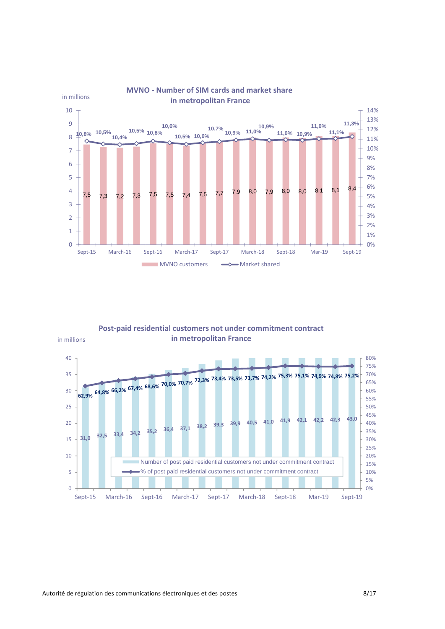

#### **Post-paid residential customers not under commitment contract in metropolitan France**



in millions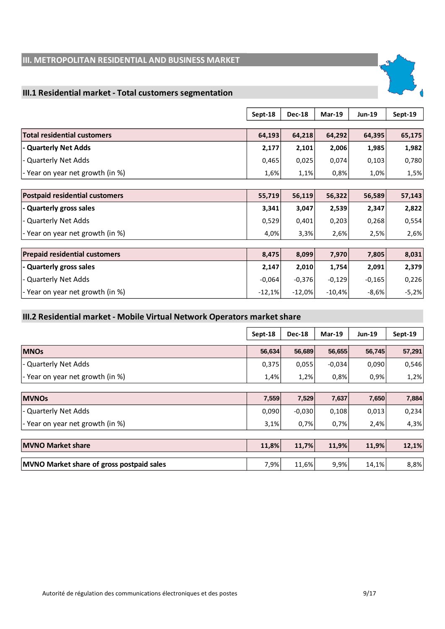# **III. METROPOLITAN RESIDENTIAL AND BUSINESS MARKET**

### **III.1 Residential market - Total customers segmentation**

|                                       | Sept-18  | <b>Dec-18</b> | $Mar-19$ | <b>Jun-19</b> | Sept-19 |
|---------------------------------------|----------|---------------|----------|---------------|---------|
| <b>Total residential customers</b>    | 64,193   | 64,218        | 64,292   | 64,395        | 65,175  |
|                                       |          |               |          |               |         |
| - Quarterly Net Adds                  | 2,177    | 2,101         | 2,006    | 1,985         | 1,982   |
| - Quarterly Net Adds                  | 0,465    | 0,025         | 0,074    | 0,103         | 0,780   |
| - Year on year net growth (in %)      | 1,6%     | 1,1%          | 0,8%     | 1,0%          | 1,5%    |
|                                       |          |               |          |               |         |
| <b>Postpaid residential customers</b> | 55,719   | 56,119        | 56,322   | 56,589        | 57,143  |
| - Quarterly gross sales               | 3,341    | 3,047         | 2,539    | 2,347         | 2,822   |
| - Quarterly Net Adds                  | 0,529    | 0,401         | 0,203    | 0,268         | 0,554   |
| - Year on year net growth (in %)      | 4,0%     | 3,3%          | 2,6%     | 2,5%          | 2,6%    |
|                                       |          |               |          |               |         |
| <b>Prepaid residential customers</b>  | 8,475    | 8,099         | 7,970    | 7,805         | 8,031   |
| - Quarterly gross sales               | 2,147    | 2,010         | 1,754    | 2,091         | 2,379   |
| - Quarterly Net Adds                  | $-0,064$ | $-0,376$      | $-0,129$ | $-0,165$      | 0,226   |
| - Year on year net growth (in %)      | $-12,1%$ | $-12,0%$      | $-10,4%$ | $-8,6%$       | $-5,2%$ |

# **III.2 Residential market - Mobile Virtual Network Operators market share**

|                                                  | Sept-18 | <b>Dec-18</b> | <b>Mar-19</b> | <b>Jun-19</b> | Sept-19 |
|--------------------------------------------------|---------|---------------|---------------|---------------|---------|
| <b>MNOs</b>                                      | 56,634  | 56,689        | 56,655        | 56,745        | 57,291  |
| - Quarterly Net Adds                             | 0,375   | 0,055         | $-0,034$      | 0,090         | 0,546   |
| - Year on year net growth (in %)                 | 1,4%    | 1,2%          | 0,8%          | 0,9%          | 1,2%    |
|                                                  |         |               |               |               |         |
| <b>MVNOs</b>                                     | 7,559   | 7,529         | 7,637         | 7,650         | 7,884   |
| - Quarterly Net Adds                             | 0,090   | $-0,030$      | 0,108         | 0,013         | 0,234   |
| - Year on year net growth (in %)                 | 3,1%    | 0,7%          | 0,7%          | 2,4%          | 4,3%    |
|                                                  |         |               |               |               |         |
| <b>MVNO Market share</b>                         | 11,8%   | 11,7%         | 11,9%         | 11,9%         | 12,1%   |
| <b>MVNO Market share of gross postpaid sales</b> | 7,9%    | 11,6%         | 9,9%          | 14,1%         | 8,8%    |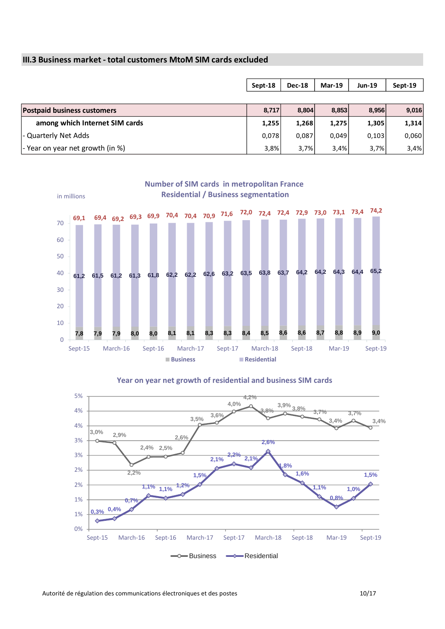#### **III.3 Business market - total customers MtoM SIM cards excluded**

|                                    | Sept-18 | <b>Dec-18</b> | $Mar-19$ | <b>Jun-19</b> | Sept-19 |
|------------------------------------|---------|---------------|----------|---------------|---------|
|                                    |         |               |          |               |         |
| <b>Postpaid business customers</b> | 8.717   | 8,804         | 8,853    | 8,956         | 9,016   |
| among which Internet SIM cards     | 1,255   | 1,268         | 1,275    | 1,305         | 1,314   |
| - Quarterly Net Adds               | 0,078   | 0,087         | 0,049    | 0,103         | 0,060   |
| - Year on year net growth (in %)   | 3,8%    | 3,7%          | 3,4%     | 3,7%          | 3,4%    |



**Year on year net growth of residential and business SIM cards** 

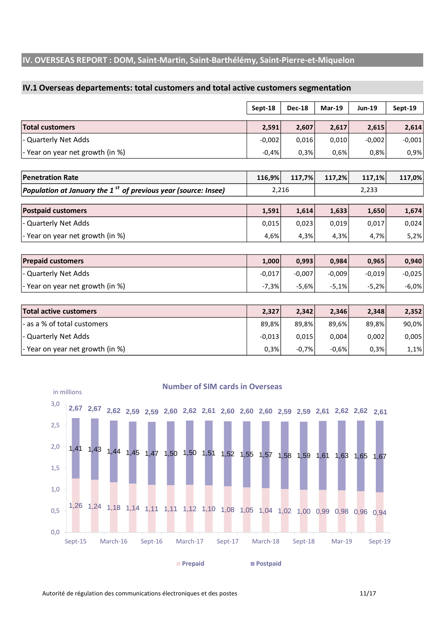# **IV. OVERSEAS REPORT : DOM, Saint-Martin, Saint-Barthélémy, Saint-Pierre-et-Miquelon**

#### **IV.1 Overseas departements: total customers and total active customers segmentation**

|                                  | Sept-18  | <b>Dec-18</b> | $Mar-19$ | <b>Jun-19</b> | Sept-19  |
|----------------------------------|----------|---------------|----------|---------------|----------|
| <b>Total customers</b>           | 2,591    | 2,607         | 2,617    | 2,615         | 2,614    |
| - Quarterly Net Adds             | $-0,002$ | 0,016         | 0,010    | $-0,002$      | $-0,001$ |
| - Year on year net growth (in %) | $-0.4%$  | 0.3%          | 0,6%     | 0,8%          | 0,9%     |

| <b>Penetration Rate</b>                                              |       | 116.9% 117.7% 117.2% | 117.1% | 117,0% |
|----------------------------------------------------------------------|-------|----------------------|--------|--------|
| Population at January the 1 $^{st}$ of previous year (source: Insee) | 2.216 |                      | 2.233  |        |

| <b>Postpaid customers</b>        | 1.591 | 1.614 | 1.633 | 1.650 | 1,674 |
|----------------------------------|-------|-------|-------|-------|-------|
| - Quarterly Net Adds             | 0.015 | 0.023 | 0.019 | 0,017 | 0,024 |
| - Year on year net growth (in %) | 4.6%  | 4.3%  | 4.3%  | 4.7%  | 5,2%  |

| <b>Prepaid customers</b>         | 1.000    | 0.993    | 0,984    | 0.965    | 0,940    |
|----------------------------------|----------|----------|----------|----------|----------|
| - Quarterly Net Adds             | $-0.017$ | $-0.007$ | $-0.009$ | $-0.019$ | $-0.025$ |
| - Year on year net growth (in %) | $-7.3%$  | $-5.6%$  | $-5.1\%$ | $-5,2%$  | $-6,0%$  |

| Total active customers           | 2.327    | 2.342   | 2.346   | 2.348 | 2,352 |
|----------------------------------|----------|---------|---------|-------|-------|
| - as a % of total customers      | 89.8%    | 89.8%   | 89.6%   | 89,8% | 90,0% |
| - Quarterly Net Adds             | $-0.013$ | 0.015   | 0.004   | 0,002 | 0,005 |
| - Year on year net growth (in %) | 0.3%     | $-0.7%$ | $-0.6%$ | 0,3%  | 1,1%  |



#### **Number of SIM cards in Overseas**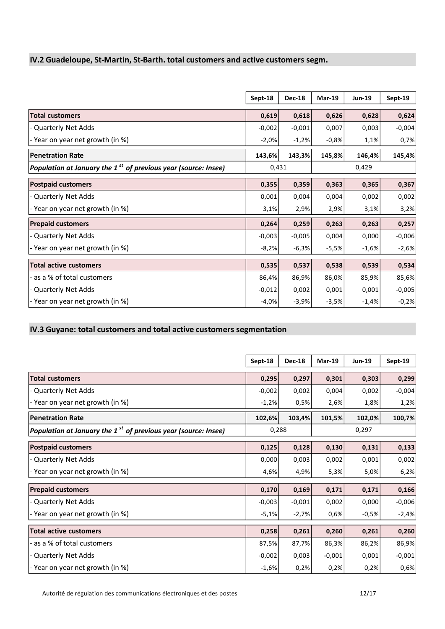# **IV.2 Guadeloupe, St-Martin, St-Barth. total customers and active customers segm.**

|                                                                  | Sept-18  | <b>Dec-18</b> | $Mar-19$ | <b>Jun-19</b> | Sept-19  |
|------------------------------------------------------------------|----------|---------------|----------|---------------|----------|
| <b>Total customers</b>                                           | 0,619    | 0,618         | 0,626    | 0,628         | 0,624    |
| - Quarterly Net Adds                                             | $-0,002$ | $-0,001$      | 0,007    | 0,003         | $-0,004$ |
| - Year on year net growth (in %)                                 | $-2,0\%$ | $-1,2%$       | $-0,8%$  | 1,1%          | 0,7%     |
| <b>Penetration Rate</b>                                          | 143,6%   | 143,3%        | 145,8%   | 146,4%        | 145,4%   |
| Population at January the $1st$ of previous year (source: Insee) | 0,431    |               |          | 0,429         |          |
| <b>Postpaid customers</b>                                        | 0,355    | 0,359         | 0,363    | 0,365         | 0,367    |
| - Quarterly Net Adds                                             | 0,001    | 0,004         | 0,004    | 0,002         | 0,002    |
| - Year on year net growth (in %)                                 | 3,1%     | 2,9%          | 2,9%     | 3,1%          | 3,2%     |
| <b>Prepaid customers</b>                                         | 0,264    | 0,259         | 0,263    | 0,263         | 0,257    |
| - Quarterly Net Adds                                             | $-0,003$ | $-0,005$      | 0,004    | 0,000         | $-0,006$ |
| - Year on year net growth (in %)                                 | $-8,2%$  | $-6,3%$       | $-5,5%$  | $-1,6%$       | $-2,6%$  |
| <b>Total active customers</b>                                    | 0,535    | 0,537         | 0,538    | 0,539         | 0,534    |
| - as a % of total customers                                      | 86,4%    | 86,9%         | 86,0%    | 85,9%         | 85,6%    |
| - Quarterly Net Adds                                             | $-0,012$ | 0,002         | 0,001    | 0,001         | $-0,005$ |
| - Year on year net growth (in %)                                 | $-4,0%$  | $-3,9%$       | $-3,5%$  | -1,4%         | $-0,2%$  |

### **IV.3 Guyane: total customers and total active customers segmentation**

|                                                                            | Sept-18  | <b>Dec-18</b> | $Mar-19$ | <b>Jun-19</b> | Sept-19  |  |
|----------------------------------------------------------------------------|----------|---------------|----------|---------------|----------|--|
| <b>Total customers</b>                                                     | 0,295    | 0,297         | 0,301    | 0,303         | 0,299    |  |
| - Quarterly Net Adds                                                       | $-0,002$ | 0,002         | 0,004    | 0,002         | $-0,004$ |  |
| - Year on year net growth (in %)                                           | $-1,2%$  | 0,5%          | 2,6%     | 1,8%          | 1,2%     |  |
| <b>Penetration Rate</b>                                                    | 102,6%   | 103,4%        | 101,5%   | 102,0%        | 100,7%   |  |
| Population at January the 1 <sup>st</sup> of previous year (source: Insee) | 0,288    |               |          | 0,297         |          |  |
| <b>Postpaid customers</b>                                                  | 0,125    | 0,128         | 0,130    | 0,131         | 0,133    |  |
| <b>Quarterly Net Adds</b>                                                  | 0,000    | 0,003         | 0,002    | 0,001         | 0,002    |  |
| - Year on year net growth (in %)                                           | 4,6%     | 4,9%          | 5,3%     | 5,0%          | 6,2%     |  |
| <b>Prepaid customers</b>                                                   | 0,170    | 0,169         | 0,171    | 0,171         | 0,166    |  |
| - Quarterly Net Adds                                                       | $-0,003$ | $-0,001$      | 0,002    | 0,000         | $-0,006$ |  |
| - Year on year net growth (in %)                                           | $-5,1%$  | $-2,7%$       | 0,6%     | $-0,5%$       | $-2,4%$  |  |
| <b>Total active customers</b>                                              | 0,258    | 0,261         | 0,260    | 0,261         | 0,260    |  |
| - as a % of total customers                                                | 87,5%    | 87,7%         | 86,3%    | 86,2%         | 86,9%    |  |
| - Quarterly Net Adds                                                       | $-0,002$ | 0,003         | $-0,001$ | 0,001         | $-0,001$ |  |
| - Year on year net growth (in %)                                           | $-1,6%$  | 0,2%          | 0,2%     | 0,2%          | 0,6%     |  |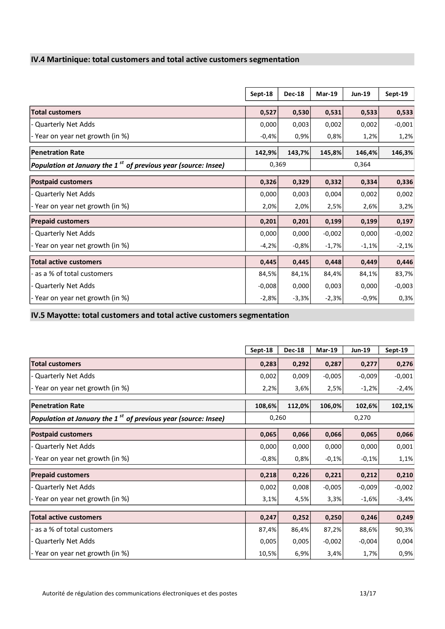# **IV.4 Martinique: total customers and total active customers segmentation**

|                                                                  | Sept-18  | <b>Dec-18</b> | $Mar-19$ | <b>Jun-19</b> | Sept-19  |  |
|------------------------------------------------------------------|----------|---------------|----------|---------------|----------|--|
| <b>Total customers</b>                                           | 0,527    | 0,530         | 0,531    | 0,533         | 0,533    |  |
| - Quarterly Net Adds                                             | 0,000    | 0,003         | 0,002    | 0,002         | $-0,001$ |  |
| - Year on year net growth (in %)                                 | $-0,4%$  | 0,9%          | 0,8%     | 1,2%          | 1,2%     |  |
| <b>Penetration Rate</b>                                          | 142,9%   | 143,7%        | 145,8%   | 146,4%        | 146,3%   |  |
| Population at January the $1st$ of previous year (source: Insee) | 0,369    |               |          | 0,364         |          |  |
| <b>Postpaid customers</b>                                        | 0,326    | 0,329         | 0,332    | 0,334         | 0,336    |  |
| <b>Quarterly Net Adds</b>                                        | 0,000    | 0,003         | 0,004    | 0,002         | 0,002    |  |
| - Year on year net growth (in %)                                 | 2,0%     | 2,0%          | 2,5%     | 2,6%          | 3,2%     |  |
| <b>Prepaid customers</b>                                         | 0,201    | 0,201         | 0,199    | 0,199         | 0,197    |  |
| - Quarterly Net Adds                                             | 0,000    | 0,000         | $-0,002$ | 0,000         | $-0,002$ |  |
| - Year on year net growth (in %)                                 | $-4,2%$  | $-0,8%$       | $-1,7%$  | $-1,1%$       | $-2,1%$  |  |
| <b>Total active customers</b>                                    | 0,445    | 0,445         | 0,448    | 0,449         | 0,446    |  |
| - as a % of total customers                                      | 84,5%    | 84,1%         | 84,4%    | 84,1%         | 83,7%    |  |
| - Quarterly Net Adds                                             | $-0,008$ | 0,000         | 0,003    | 0,000         | $-0,003$ |  |
| - Year on year net growth (in %)                                 | $-2,8%$  | $-3,3%$       | $-2,3%$  | $-0,9%$       | 0,3%     |  |

**IV.5 Mayotte: total customers and total active customers segmentation**

|                                                                  | Sept-18 | <b>Dec-18</b> | $Mar-19$ | Jun-19   | Sept-19  |
|------------------------------------------------------------------|---------|---------------|----------|----------|----------|
| <b>Total customers</b>                                           | 0,283   | 0,292         | 0,287    | 0,277    | 0,276    |
| - Quarterly Net Adds                                             | 0,002   | 0,009         | $-0,005$ | $-0,009$ | $-0,001$ |
| - Year on year net growth (in %)                                 | 2,2%    | 3,6%          | 2,5%     | $-1,2%$  | $-2,4%$  |
| <b>Penetration Rate</b>                                          | 108,6%  | 112,0%        | 106,0%   | 102,6%   | 102,1%   |
| Population at January the $1st$ of previous year (source: Insee) | 0,260   |               |          | 0,270    |          |
| <b>Postpaid customers</b>                                        | 0,065   | 0,066         | 0,066    | 0,065    | 0,066    |
| - Quarterly Net Adds                                             | 0,000   | 0,000         | 0,000    | 0,000    | 0,001    |
| - Year on year net growth (in %)                                 | $-0,8%$ | 0,8%          | $-0,1%$  | $-0,1%$  | 1,1%     |
| <b>Prepaid customers</b>                                         | 0,218   | 0,226         | 0,221    | 0,212    | 0,210    |
| - Quarterly Net Adds                                             | 0,002   | 0,008         | $-0,005$ | $-0,009$ | $-0,002$ |
| - Year on year net growth (in %)                                 | 3,1%    | 4,5%          | 3,3%     | $-1,6%$  | $-3,4%$  |
| <b>Total active customers</b>                                    | 0,247   | 0,252         | 0,250    | 0,246    | 0,249    |
| - as a % of total customers                                      | 87,4%   | 86,4%         | 87,2%    | 88,6%    | 90,3%    |
| - Quarterly Net Adds                                             | 0,005   | 0,005         | $-0,002$ | $-0,004$ | 0,004    |
| - Year on year net growth (in %)                                 | 10,5%   | 6,9%          | 3,4%     | 1,7%     | 0,9%     |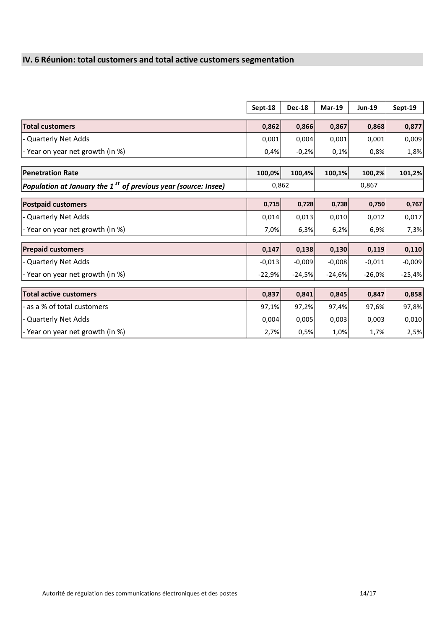# **IV. 6 Réunion: total customers and total active customers segmentation**

|                                                                  | Sept-18  | <b>Dec-18</b> | $Mar-19$ | <b>Jun-19</b> | Sept-19  |
|------------------------------------------------------------------|----------|---------------|----------|---------------|----------|
|                                                                  |          |               |          |               |          |
| <b>Total customers</b>                                           | 0,862    | 0,866         | 0,867    | 0,868         | 0,877    |
| - Quarterly Net Adds                                             | 0,001    | 0,004         | 0,001    | 0,001         | 0,009    |
| - Year on year net growth (in %)                                 | 0,4%     | $-0,2%$       | 0,1%     | 0,8%          | 1,8%     |
|                                                                  |          |               |          |               |          |
| <b>Penetration Rate</b>                                          | 100,0%   | 100,4%        | 100,1%   | 100,2%        | 101,2%   |
| Population at January the $1st$ of previous year (source: Insee) |          | 0,862         |          | 0,867         |          |
| <b>Postpaid customers</b>                                        | 0,715    | 0,728         | 0,738    | 0,750         | 0,767    |
| Quarterly Net Adds                                               | 0,014    | 0,013         | 0,010    | 0,012         | 0,017    |
| - Year on year net growth (in %)                                 | 7,0%     | 6,3%          | 6,2%     | 6,9%          | 7,3%     |
|                                                                  |          |               |          |               |          |
| <b>Prepaid customers</b>                                         | 0,147    | 0,138         | 0,130    | 0,119         | 0,110    |
| Quarterly Net Adds                                               | $-0,013$ | $-0,009$      | $-0,008$ | $-0,011$      | $-0,009$ |
| - Year on year net growth (in %)                                 | $-22,9%$ | $-24,5%$      | $-24,6%$ | $-26,0%$      | $-25,4%$ |
|                                                                  |          |               |          |               |          |
| <b>Total active customers</b>                                    | 0,837    | 0,841         | 0,845    | 0,847         | 0,858    |
| - as a % of total customers                                      | 97,1%    | 97,2%         | 97,4%    | 97,6%         | 97,8%    |
| - Quarterly Net Adds                                             | 0,004    | 0,005         | 0,003    | 0,003         | 0,010    |
| - Year on year net growth (in %)                                 | 2,7%     | 0,5%          | 1,0%     | 1,7%          | 2,5%     |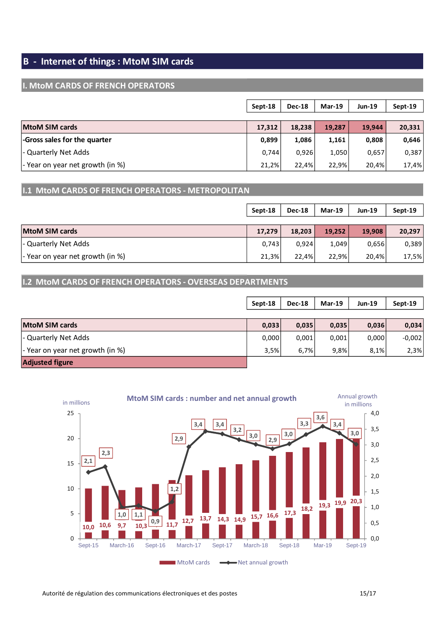# **B - Internet of things : MtoM SIM cards**

#### **I. MtoM CARDS OF FRENCH OPERATORS**

|                                  | Sept-18 | <b>Dec-18</b> | <b>Mar-19</b> | <b>Jun-19</b> | Sept-19 |
|----------------------------------|---------|---------------|---------------|---------------|---------|
|                                  |         |               |               |               |         |
| MtoM SIM cards                   | 17,312  | 18,238        | 19,287        | 19,944        | 20,331  |
| -Gross sales for the quarter     | 0,899   | 1,086         | 1,161         | 0,808         | 0,646   |
| l- Quarterly Net Adds            | 0.744   | 0.926         | 1,050         | 0,657         | 0,387   |
| - Year on year net growth (in %) | 21,2%   | 22.4%         | 22,9%         | 20.4%         | 17,4%   |

# **I.1 MtoM CARDS OF FRENCH OPERATORS - METROPOLITAN**

|                                  | Sept-18 | <b>Dec-18</b> | $Mar-19$ | Jun-19 | Sept-19 |
|----------------------------------|---------|---------------|----------|--------|---------|
|                                  |         |               |          |        |         |
| <b>MtoM SIM cards</b>            | 17,279  | 18,203        | 19,252   | 19,908 | 20,297  |
| - Quarterly Net Adds             | 0,743   | 0.924         | 1,049    | 0,656  | 0,389   |
| - Year on year net growth (in %) | 21,3%   | 22.4%         | 22.9%    | 20,4%  | 17,5%   |

# **I.2 MtoM CARDS OF FRENCH OPERATORS - OVERSEAS DEPARTMENTS**

|                                  | Sept-18 | <b>Dec-18</b> | $Mar-19$ | <b>Jun-19</b> | Sept-19  |
|----------------------------------|---------|---------------|----------|---------------|----------|
|                                  |         |               |          |               |          |
| <b>MtoM SIM cards</b>            | 0,033   | 0,035         | 0,035    | 0,036         | 0,034    |
| - Quarterly Net Adds             | 0,000   | 0,001         | 0,001    | 0,000         | $-0,002$ |
| - Year on year net growth (in %) | 3,5%    | 6,7%          | 9,8%     | 8,1%          | 2,3%     |
| <b>Adjusted figure</b>           |         |               |          |               |          |

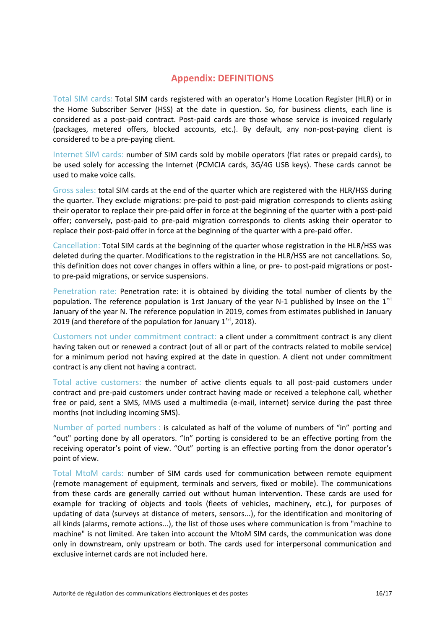### **Appendix: DEFINITIONS**

Total SIM cards: Total SIM cards registered with an operator's Home Location Register (HLR) or in the Home Subscriber Server (HSS) at the date in question. So, for business clients, each line is considered as a post-paid contract. Post-paid cards are those whose service is invoiced regularly (packages, metered offers, blocked accounts, etc.). By default, any non-post-paying client is considered to be a pre-paying client.

Internet SIM cards: number of SIM cards sold by mobile operators (flat rates or prepaid cards), to be used solely for accessing the Internet (PCMCIA cards, 3G/4G USB keys). These cards cannot be used to make voice calls.

Gross sales: total SIM cards at the end of the quarter which are registered with the HLR/HSS during the quarter. They exclude migrations: pre-paid to post-paid migration corresponds to clients asking their operator to replace their pre-paid offer in force at the beginning of the quarter with a post-paid offer; conversely, post-paid to pre-paid migration corresponds to clients asking their operator to replace their post-paid offer in force at the beginning of the quarter with a pre-paid offer.

Cancellation: Total SIM cards at the beginning of the quarter whose registration in the HLR/HSS was deleted during the quarter. Modifications to the registration in the HLR/HSS are not cancellations. So, this definition does not cover changes in offers within a line, or pre- to post-paid migrations or postto pre-paid migrations, or service suspensions.

Penetration rate: Penetration rate: it is obtained by dividing the total number of clients by the population. The reference population is 1rst January of the year N-1 published by Insee on the 1<sup>rst</sup> January of the year N. The reference population in 2019, comes from estimates published in January 2019 (and therefore of the population for January  $1<sup>rst</sup>$ , 2018).

Customers not under commitment contract: a client under a commitment contract is any client having taken out or renewed a contract (out of all or part of the contracts related to mobile service) for a minimum period not having expired at the date in question. A client not under commitment contract is any client not having a contract.

Total active customers: the number of active clients equals to all post-paid customers under contract and pre-paid customers under contract having made or received a telephone call, whether free or paid, sent a SMS, MMS used a multimedia (e-mail, internet) service during the past three months (not including incoming SMS).

Number of ported numbers : is calculated as half of the volume of numbers of "in" porting and "out" porting done by all operators. "In" porting is considered to be an effective porting from the receiving operator's point of view. "Out" porting is an effective porting from the donor operator's point of view.

Total MtoM cards: number of SIM cards used for communication between remote equipment (remote management of equipment, terminals and servers, fixed or mobile). The communications from these cards are generally carried out without human intervention. These cards are used for example for tracking of objects and tools (fleets of vehicles, machinery, etc.), for purposes of updating of data (surveys at distance of meters, sensors...), for the identification and monitoring of all kinds (alarms, remote actions...), the list of those uses where communication is from "machine to machine" is not limited. Are taken into account the MtoM SIM cards, the communication was done only in downstream, only upstream or both. The cards used for interpersonal communication and exclusive internet cards are not included here.